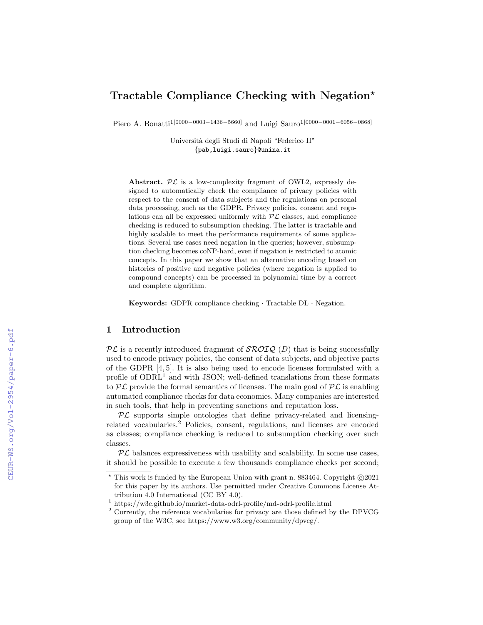# Tractable Compliance Checking with Negation?

Piero A. Bonatti<sup>1[0000–0003–1436–5660]</sup> and Luigi Sauro<sup>1</sup><sup>[0000–0001–6056–0868]</sup>

Universit`a degli Studi di Napoli "Federico II" {pab,luigi.sauro}@unina.it

Abstract.  $\mathcal{PL}$  is a low-complexity fragment of OWL2, expressly designed to automatically check the compliance of privacy policies with respect to the consent of data subjects and the regulations on personal data processing, such as the GDPR. Privacy policies, consent and regulations can all be expressed uniformly with  $PL$  classes, and compliance checking is reduced to subsumption checking. The latter is tractable and highly scalable to meet the performance requirements of some applications. Several use cases need negation in the queries; however, subsumption checking becomes coNP-hard, even if negation is restricted to atomic concepts. In this paper we show that an alternative encoding based on histories of positive and negative policies (where negation is applied to compound concepts) can be processed in polynomial time by a correct and complete algorithm.

Keywords: GDPR compliance checking · Tractable DL · Negation.

# 1 Introduction

 $\mathcal{PL}$  is a recently introduced fragment of  $\mathcal{SROLQ}(D)$  that is being successfully used to encode privacy policies, the consent of data subjects, and objective parts of the GDPR [4, 5]. It is also being used to encode licenses formulated with a profile of  $ODRL<sup>1</sup>$  and with JSON; well-defined translations from these formats to  $\mathcal{PL}$  provide the formal semantics of licenses. The main goal of  $\mathcal{PL}$  is enabling automated compliance checks for data economies. Many companies are interested in such tools, that help in preventing sanctions and reputation loss.

 $PL$  supports simple ontologies that define privacy-related and licensingrelated vocabularies.<sup>2</sup> Policies, consent, regulations, and licenses are encoded as classes; compliance checking is reduced to subsumption checking over such classes.

 $PL$  balances expressiveness with usability and scalability. In some use cases, it should be possible to execute a few thousands compliance checks per second;

 $*$  This work is funded by the European Union with grant n. 883464. Copyright  $\odot$ 2021 for this paper by its authors. Use permitted under Creative Commons License Attribution 4.0 International (CC BY 4.0).

<sup>1</sup> https://w3c.github.io/market-data-odrl-profile/md-odrl-profile.html

<sup>2</sup> Currently, the reference vocabularies for privacy are those defined by the DPVCG group of the W3C, see https://www.w3.org/community/dpvcg/.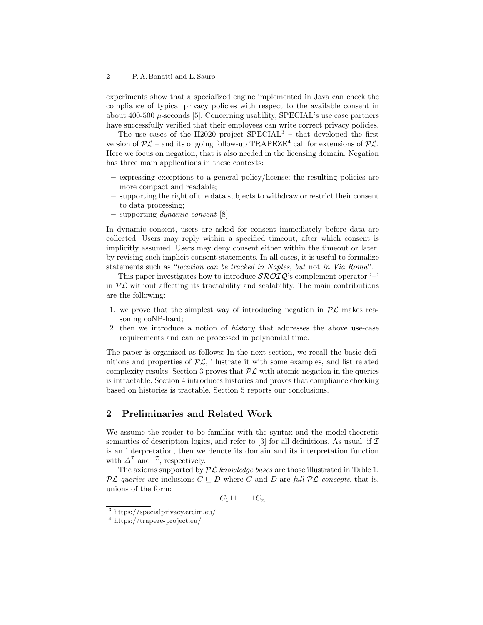experiments show that a specialized engine implemented in Java can check the compliance of typical privacy policies with respect to the available consent in about 400-500  $\mu$ -seconds [5]. Concerning usability, SPECIAL's use case partners have successfully verified that their employees can write correct privacy policies.

The use cases of the H2020 project  $SPECTAL<sup>3</sup>$  – that developed the first version of  $\mathcal{PL}$  – and its ongoing follow-up TRAPEZE<sup>4</sup> call for extensions of  $\mathcal{PL}$ . Here we focus on negation, that is also needed in the licensing domain. Negation has three main applications in these contexts:

- expressing exceptions to a general policy/license; the resulting policies are more compact and readable;
- supporting the right of the data subjects to withdraw or restrict their consent to data processing;
- supporting dynamic consent [8].

In dynamic consent, users are asked for consent immediately before data are collected. Users may reply within a specified timeout, after which consent is implicitly assumed. Users may deny consent either within the timeout or later, by revising such implicit consent statements. In all cases, it is useful to formalize statements such as "location can be tracked in Naples, but not in Via Roma".

This paper investigates how to introduce  $\mathcal{SROLQ}$ 's complement operator '¬' in  $PL$  without affecting its tractability and scalability. The main contributions are the following:

- 1. we prove that the simplest way of introducing negation in  $\mathcal{PL}$  makes reasoning coNP-hard;
- 2. then we introduce a notion of history that addresses the above use-case requirements and can be processed in polynomial time.

The paper is organized as follows: In the next section, we recall the basic definitions and properties of  $PL$ , illustrate it with some examples, and list related complexity results. Section 3 proves that  $\mathcal{PL}$  with atomic negation in the queries is intractable. Section 4 introduces histories and proves that compliance checking based on histories is tractable. Section 5 reports our conclusions.

# 2 Preliminaries and Related Work

We assume the reader to be familiar with the syntax and the model-theoretic semantics of description logics, and refer to [3] for all definitions. As usual, if  $\mathcal I$ is an interpretation, then we denote its domain and its interpretation function with  $\Delta^{\mathcal{I}}$  and  $\cdot^{\mathcal{I}}$ , respectively.

The axioms supported by  $PL$  knowledge bases are those illustrated in Table 1.  $\mathcal{PL}$  queries are inclusions  $C \sqsubseteq D$  where C and D are full  $\mathcal{PL}$  concepts, that is, unions of the form:

 $C_1 \sqcup \ldots \sqcup C_n$ 

<sup>3</sup> https://specialprivacy.ercim.eu/

<sup>4</sup> https://trapeze-project.eu/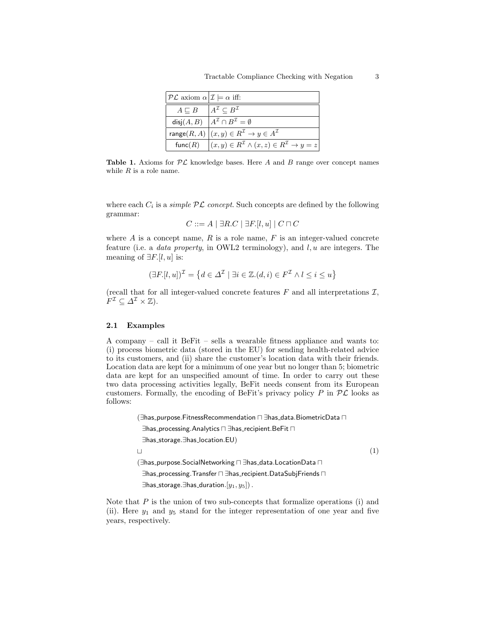| $\mathcal{P}\mathcal{L}$ axiom $\alpha \mathcal{I}  = \alpha$ iff: |                                                                                             |
|--------------------------------------------------------------------|---------------------------------------------------------------------------------------------|
| $A \sqsubset B$ $ A^{\mathcal{I}} \subset B^{\mathcal{I}}$         |                                                                                             |
|                                                                    | disj $(A, B)$ $A^{\mathcal{I}} \cap B^{\mathcal{I}} = \emptyset$                            |
|                                                                    | range $(R, A)   (x, y) \in R^{\mathcal{I}} \to y \in A^{\mathcal{I}}$                       |
|                                                                    | func $(R)$ $(x, y) \in R^{\mathcal{I}} \wedge (x, z) \in R^{\mathcal{I}} \rightarrow y = z$ |

**Table 1.** Axioms for  $PL$  knowledge bases. Here A and B range over concept names while  $R$  is a role name.

where each  $C_i$  is a *simple*  $PL$  concept. Such concepts are defined by the following grammar:

$$
C ::= A \mid \exists R.C \mid \exists F.[l, u] \mid C \sqcap C
$$

where  $A$  is a concept name,  $R$  is a role name,  $F$  is an integer-valued concrete feature (i.e. a *data property*, in OWL2 terminology), and  $l, u$  are integers. The meaning of  $\exists F. [l, u]$  is:

$$
(\exists F.[l, u])^{\mathcal{I}} = \{d \in \Delta^{\mathcal{I}} \mid \exists i \in \mathbb{Z}. (d, i) \in F^{\mathcal{I}} \land l \le i \le u\}
$$

(recall that for all integer-valued concrete features  $F$  and all interpretations  $\mathcal{I},$  $F^{\mathcal{I}} \subseteq \varDelta^{\mathcal{I}} \times \mathbb{Z}$ ).

### 2.1 Examples

A company – call it BeFit – sells a wearable fitness appliance and wants to: (i) process biometric data (stored in the EU) for sending health-related advice to its customers, and (ii) share the customer's location data with their friends. Location data are kept for a minimum of one year but no longer than 5; biometric data are kept for an unspecified amount of time. In order to carry out these two data processing activities legally, BeFit needs consent from its European customers. Formally, the encoding of BeFit's privacy policy  $P$  in  $\mathcal{PL}$  looks as follows:

```
(∃has_purpose.FitnessRecommendation n ∃has_data.BiometricData n
 ∃has_processing.Analytics n ∃has_recipient.BeFit n
 ∃has storage.∃has location.EU)
\overline{1}(∃has_purpose.SocialNetworking n ∃has_data.LocationData n
 ∃has_processing.Transfer n ∃has_recipient.DataSubjFriends n
 ∃has_storage.∃has_duration.[y_1, y_5]).
                                                                             (1)
```
Note that  $P$  is the union of two sub-concepts that formalize operations (i) and (ii). Here  $y_1$  and  $y_5$  stand for the integer representation of one year and five years, respectively.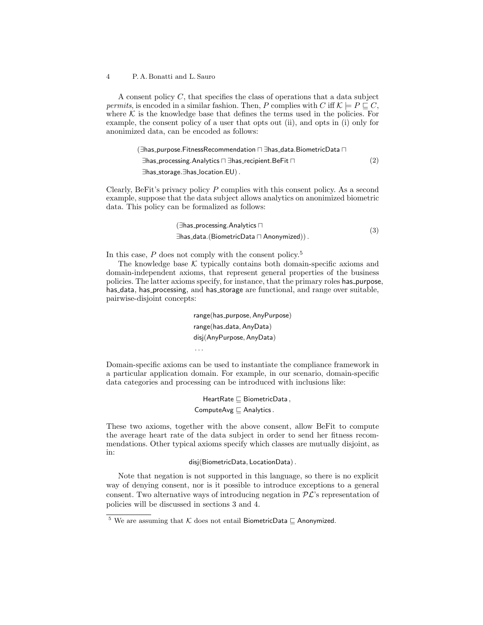A consent policy C, that specifies the class of operations that a data subject permits, is encoded in a similar fashion. Then, P complies with C iff  $\mathcal{K} \models P \sqsubset C$ . where  $K$  is the knowledge base that defines the terms used in the policies. For example, the consent policy of a user that opts out (ii), and opts in (i) only for anonimized data, can be encoded as follows:

> (∃has\_purpose.FitnessRecommendation n ∃has\_data.BiometricData n ∃has\_processing.Analytics n ∃has\_recipient.BeFit n ∃has storage.∃has location.EU). (2)

Clearly, BeFit's privacy policy  $P$  complies with this consent policy. As a second example, suppose that the data subject allows analytics on anonimized biometric data. This policy can be formalized as follows:

$$
(\exists \mathsf{has\_processing}.\mathsf{Analysis} \sqcap \newline \exists \mathsf{has\_data}.(\mathsf{BiometricData} \sqcap \mathsf{Anonymized})).
$$

In this case,  $P$  does not comply with the consent policy.<sup>5</sup>

The knowledge base  $K$  typically contains both domain-specific axioms and domain-independent axioms, that represent general properties of the business policies. The latter axioms specify, for instance, that the primary roles has purpose, has data, has processing, and has storage are functional, and range over suitable, pairwise-disjoint concepts:

> range(has\_purpose, AnyPurpose) range(has\_data, AnyData) disj(AnyPurpose, AnyData) . . .

Domain-specific axioms can be used to instantiate the compliance framework in a particular application domain. For example, in our scenario, domain-specific data categories and processing can be introduced with inclusions like:

> HeartRate  $\sqsubseteq$  BiometricData, ComputeAvg  $\sqsubset$  Analytics.

These two axioms, together with the above consent, allow BeFit to compute the average heart rate of the data subject in order to send her fitness recommendations. Other typical axioms specify which classes are mutually disjoint, as in:

### disj(BiometricData, LocationData).

Note that negation is not supported in this language, so there is no explicit way of denying consent, nor is it possible to introduce exceptions to a general consent. Two alternative ways of introducing negation in  $\mathcal{PL}$ 's representation of policies will be discussed in sections 3 and 4.

<sup>&</sup>lt;sup>5</sup> We are assuming that  $K$  does not entail BiometricData  $\Box$  Anonymized.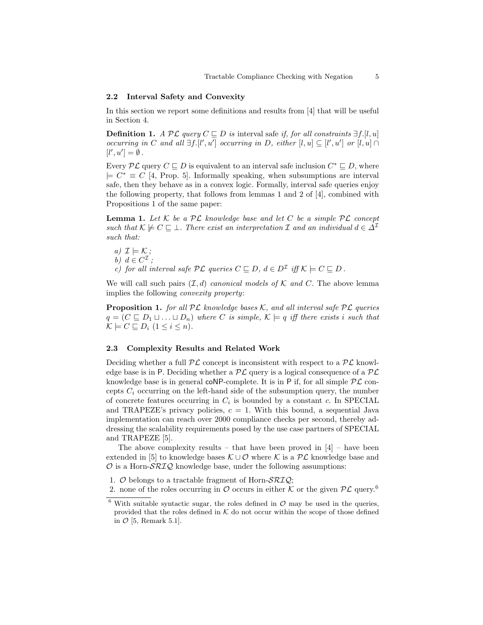### 2.2 Interval Safety and Convexity

In this section we report some definitions and results from [4] that will be useful in Section 4.

**Definition 1.** A PL query  $C ⊆ D$  is interval safe if, for all constraints  $\exists f. [l, u]$ occurring in C and all  $\exists f. [l', u']$  occurring in D, either  $[l, u] \subseteq [l', u']$  or  $[l, u] \cap$  $[l', u'] = \emptyset$ .

Every  $\mathcal{PL}$  query  $C \subseteq D$  is equivalent to an interval safe inclusion  $C^* \subseteq D$ , where  $\vert \in C^* \equiv C$  [4, Prop. 5]. Informally speaking, when subsumptions are interval safe, then they behave as in a convex logic. Formally, interval safe queries enjoy the following property, that follows from lemmas 1 and 2 of [4], combined with Propositions 1 of the same paper:

**Lemma 1.** Let  $K$  be a  $\mathcal{PL}$  knowledge base and let  $C$  be a simple  $\mathcal{PL}$  concept such that  $\mathcal{K} \not\models C \sqsubseteq \bot$ . There exist an interpretation I and an individual  $d \in \Delta^{\mathcal{I}}$ such that:

a) 
$$
\mathcal{I} \models \mathcal{K}
$$
;  
b)  $d \in C^{\mathcal{I}}$ ;  
c) for all interval safe  $\mathcal{PL}$  queries  $C \sqsubseteq D$ ,  $d \in D^{\mathcal{I}}$  iff  $\mathcal{K} \models C \sqsubseteq D$ .

We will call such pairs  $(\mathcal{I}, d)$  canonical models of K and C. The above lemma implies the following convexity property:

**Proposition 1.** for all  $PL$  knowledge bases K, and all interval safe  $PL$  queries  $q = (C \sqsubseteq D_1 \sqcup \ldots \sqcup D_n)$  where C is simple,  $\mathcal{K} \models q$  iff there exists i such that  $\mathcal{K} \models C \sqsubset D_i \ (1 \leq i \leq n).$ 

### 2.3 Complexity Results and Related Work

Deciding whether a full  $\mathcal{PL}$  concept is inconsistent with respect to a  $\mathcal{PL}$  knowledge base is in P. Deciding whether a  $\mathcal{PL}$  query is a logical consequence of a  $\mathcal{PL}$ knowledge base is in general coNP-complete. It is in  $P$  if, for all simple  $PL$  concepts  $C_i$  occurring on the left-hand side of the subsumption query, the number of concrete features occurring in  $C_i$  is bounded by a constant c. In SPECIAL and TRAPEZE's privacy policies,  $c = 1$ . With this bound, a sequential Java implementation can reach over 2000 compliance checks per second, thereby addressing the scalability requirements posed by the use case partners of SPECIAL and TRAPEZE [5].

The above complexity results – that have been proved in  $[4]$  – have been extended in [5] to knowledge bases  $\mathcal{K} \cup \mathcal{O}$  where K is a  $\mathcal{PL}$  knowledge base and  $\mathcal O$  is a Horn- $\mathcal{SRIQ}$  knowledge base, under the following assumptions:

- 1.  $\mathcal O$  belongs to a tractable fragment of Horn- $\mathcal{SRIQ}$ ;
- 2. none of the roles occurring in  $\mathcal O$  occurs in either  $\mathcal K$  or the given  $\mathcal P\mathcal L$  query.<sup>6</sup>

 $6$  With suitable syntactic sugar, the roles defined in  $O$  may be used in the queries, provided that the roles defined in  $K$  do not occur within the scope of those defined in  $\mathcal{O}$  [5, Remark 5.1].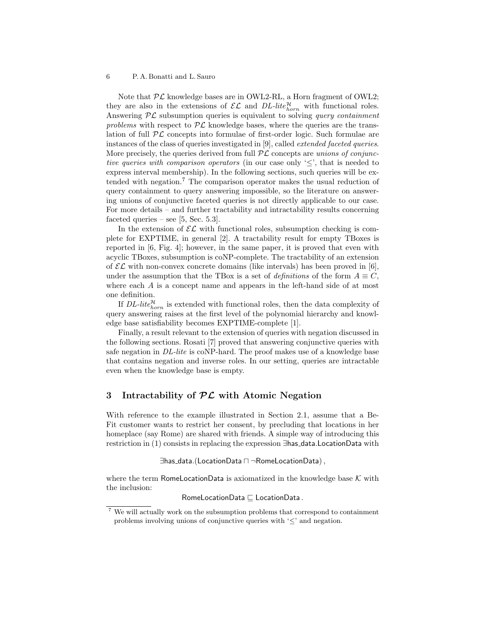Note that  $\mathcal{PL}$  knowledge bases are in OWL2-RL, a Horn fragment of OWL2; they are also in the extensions of  $\mathcal{EL}$  and  $DL\text{-}lite_{horn}^{\mathcal{H}}$  with functional roles. Answering  $PL$  subsumption queries is equivalent to solving *query containment* problems with respect to  $\mathcal{PL}$  knowledge bases, where the queries are the translation of full  $PL$  concepts into formulae of first-order logic. Such formulae are instances of the class of queries investigated in [9], called extended faceted queries. More precisely, the queries derived from full  $PL$  concepts are unions of conjunctive queries with comparison operators (in our case only ' $\leq$ ', that is needed to express interval membership). In the following sections, such queries will be extended with negation.<sup>7</sup> The comparison operator makes the usual reduction of query containment to query answering impossible, so the literature on answering unions of conjunctive faceted queries is not directly applicable to our case. For more details – and further tractability and intractability results concerning faceted queries – see  $[5, \text{Sec. } 5.3]$ .

In the extension of  $\mathcal{EL}$  with functional roles, subsumption checking is complete for EXPTIME, in general [2]. A tractability result for empty TBoxes is reported in [6, Fig. 4]; however, in the same paper, it is proved that even with acyclic TBoxes, subsumption is coNP-complete. The tractability of an extension of  $\mathcal{EL}$  with non-convex concrete domains (like intervals) has been proved in [6], under the assumption that the TBox is a set of definitions of the form  $A \equiv C$ , where each A is a concept name and appears in the left-hand side of at most one definition.

If  $DL\text{-}litel_{horn}^{\mathcal{H}}$  is extended with functional roles, then the data complexity of query answering raises at the first level of the polynomial hierarchy and knowledge base satisfiability becomes EXPTIME-complete [1].

Finally, a result relevant to the extension of queries with negation discussed in the following sections. Rosati [7] proved that answering conjunctive queries with safe negation in DL-lite is coNP-hard. The proof makes use of a knowledge base that contains negation and inverse roles. In our setting, queries are intractable even when the knowledge base is empty.

# 3 Intractability of  $PL$  with Atomic Negation

With reference to the example illustrated in Section 2.1, assume that a Be-Fit customer wants to restrict her consent, by precluding that locations in her homeplace (say Rome) are shared with friends. A simple way of introducing this restriction in (1) consists in replacing the expression ∃has data.LocationData with

```
∃has data.(LocationData u ¬RomeLocationData),
```
where the term RomeLocationData is axiomatized in the knowledge base  $K$  with the inclusion:

 $RomelocationData \sqsubset LocalI.$ 

 $7$  We will actually work on the subsumption problems that correspond to containment problems involving unions of conjunctive queries with  $\leq$  and negation.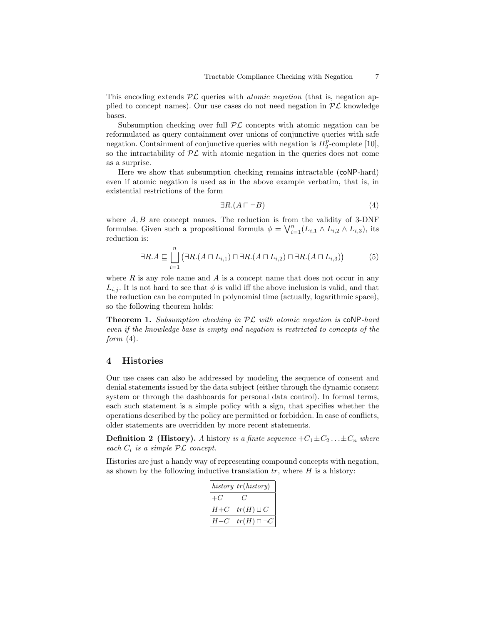This encoding extends  $PL$  queries with *atomic negation* (that is, negation applied to concept names). Our use cases do not need negation in  $\mathcal{PL}$  knowledge bases.

Subsumption checking over full  $\mathcal{PL}$  concepts with atomic negation can be reformulated as query containment over unions of conjunctive queries with safe negation. Containment of conjunctive queries with negation is  $\Pi_2^p$ -complete [10], so the intractability of  $\mathcal{PL}$  with atomic negation in the queries does not come as a surprise.

Here we show that subsumption checking remains intractable (coNP-hard) even if atomic negation is used as in the above example verbatim, that is, in existential restrictions of the form

$$
\exists R.(A \sqcap \neg B) \tag{4}
$$

where  $A, B$  are concept names. The reduction is from the validity of 3-DNF formulae. Given such a propositional formula  $\phi = \bigvee_{i=1}^{n} (L_{i,1} \wedge L_{i,2} \wedge L_{i,3}),$  its reduction is:

$$
\exists R.A \sqsubseteq \bigsqcup_{i=1}^{n} \left( \exists R.(A \sqcap L_{i,1}) \sqcap \exists R.(A \sqcap L_{i,2}) \sqcap \exists R.(A \sqcap L_{i,3}) \right) \tag{5}
$$

where  $R$  is any role name and  $A$  is a concept name that does not occur in any  $L_{i,j}$ . It is not hard to see that  $\phi$  is valid iff the above inclusion is valid, and that the reduction can be computed in polynomial time (actually, logarithmic space), so the following theorem holds:

**Theorem 1.** Subsumption checking in  $PL$  with atomic negation is  $coNP$ -hard even if the knowledge base is empty and negation is restricted to concepts of the form  $(4)$ .

### 4 Histories

Our use cases can also be addressed by modeling the sequence of consent and denial statements issued by the data subject (either through the dynamic consent system or through the dashboards for personal data control). In formal terms, each such statement is a simple policy with a sign, that specifies whether the operations described by the policy are permitted or forbidden. In case of conflicts, older statements are overridden by more recent statements.

**Definition 2** (History). A history is a finite sequence  $+C_1\pm C_2 \ldots \pm C_n$  where each  $C_i$  is a simple  $\mathcal{PL}$  concept.

Histories are just a handy way of representing compound concepts with negation, as shown by the following inductive translation  $tr$ , where  $H$  is a history:

|       | history tr(history)   |
|-------|-----------------------|
| -07   |                       |
| $H+C$ | $tr(H) \sqcup C$      |
| $H-C$ | $tr(H) \sqcap \neg C$ |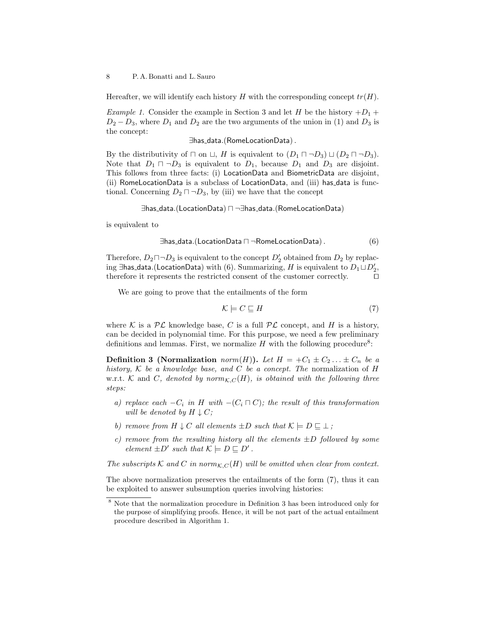Hereafter, we will identify each history H with the corresponding concept  $tr(H)$ .

Example 1. Consider the example in Section 3 and let H be the history  $+D_1 +$  $D_2 - D_3$ , where  $D_1$  and  $D_2$  are the two arguments of the union in (1) and  $D_3$  is the concept:

∃has data.(RomeLocationData).

By the distributivity of  $\sqcap$  on  $\sqcup$ , H is equivalent to  $(D_1 \sqcap \neg D_3) \sqcup (D_2 \sqcap \neg D_3)$ . Note that  $D_1 \sqcap \neg D_3$  is equivalent to  $D_1$ , because  $D_1$  and  $D_3$  are disjoint. This follows from three facts: (i) LocationData and BiometricData are disjoint, (ii) RomeLocationData is a subclass of LocationData, and (iii) has data is functional. Concerning  $D_2 \sqcap \neg D_3$ , by (iii) we have that the concept

∃has data.(LocationData) u ¬∃has data.(RomeLocationData)

is equivalent to

$$
\exists \text{has\_data}. (\text{LocationData} \sqcap \neg \text{RomeLocationData}). \tag{6}
$$

Therefore,  $D_2 \sqcap \neg D_3$  is equivalent to the concept  $D'_2$  obtained from  $D_2$  by replacing ∃has\_data.(LocationData) with (6). Summarizing,  $H$  is equivalent to  $D_1 \sqcup D_2',$ therefore it represents the restricted consent of the customer correctly.  $\Box$ 

We are going to prove that the entailments of the form

$$
\mathcal{K} \models C \sqsubseteq H \tag{7}
$$

where K is a  $\mathcal{PL}$  knowledge base, C is a full  $\mathcal{PL}$  concept, and H is a history, can be decided in polynomial time. For this purpose, we need a few preliminary definitions and lemmas. First, we normalize  $H$  with the following procedure<sup>8</sup>:

**Definition 3 (Normalization** norm(H)). Let  $H = +C_1 \pm C_2 \ldots \pm C_n$  be a history,  $K$  be a knowledge base, and  $C$  be a concept. The normalization of  $H$ w.r.t. K and C, denoted by  $norm_{K,C}(H)$ , is obtained with the following three steps:

- a) replace each  $-C_i$  in H with  $-(C_i \sqcap C)$ ; the result of this transformation will be denoted by  $H \downarrow C$ ;
- b) remove from  $H \downarrow C$  all elements  $\pm D$  such that  $\mathcal{K} \models D \sqsubseteq \bot$ ;
- c) remove from the resulting history all the elements  $\pm D$  followed by some element  $\pm D'$  such that  $\mathcal{K} \models D \sqsubseteq D'$ .

The subscripts K and C in norm $_{K,C}(H)$  will be omitted when clear from context.

The above normalization preserves the entailments of the form (7), thus it can be exploited to answer subsumption queries involving histories:

<sup>8</sup> Note that the normalization procedure in Definition 3 has been introduced only for the purpose of simplifying proofs. Hence, it will be not part of the actual entailment procedure described in Algorithm 1.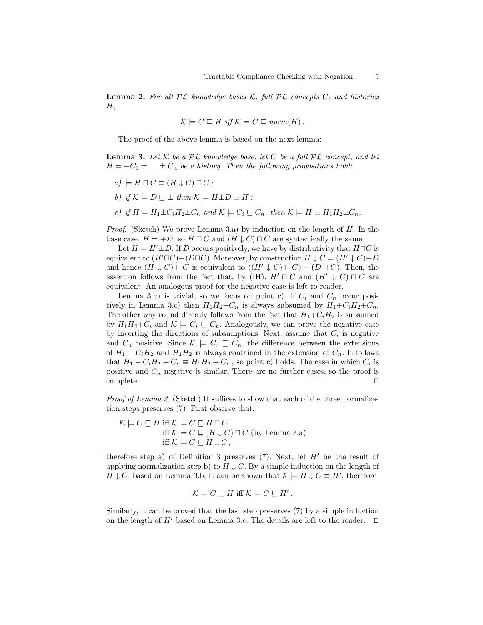**Lemma 2.** For all  $PL$  knowledge bases K, full  $PL$  concepts C, and histories  $H,$ 

$$
\mathcal{K} \models C \sqsubseteq H
$$
 iff  $\mathcal{K} \models C \sqsubseteq norm(H)$ .

The proof of the above lemma is based on the next lemma:

**Lemma 3.** Let  $K$  be a  $PL$  knowledge base, let  $C$  be a full  $PL$  concept, and let  $H = +C_1 \pm \ldots \pm C_n$  be a history. Then the following propositions hold:

- $a) \models H \sqcap C \equiv (H \downarrow C) \sqcap C;$
- b) if  $\mathcal{K} \models D \sqsubseteq \bot$  then  $\mathcal{K} \models H \pm D \equiv H$ ;
- c) if  $H = H_1 \pm C_i H_2 \pm C_n$  and  $\mathcal{K} \models C_i \sqsubseteq C_n$ , then  $\mathcal{K} \models H \equiv H_1 H_2 \pm C_n$ .

*Proof.* (Sketch) We prove Lemma 3.a) by induction on the length of  $H$ . In the base case,  $H = +D$ , so  $H \sqcap C$  and  $(H \downarrow C) \sqcap C$  are syntactically the same.

Let  $H = H' \pm D$ . If D occurs positively, we have by distributivity that  $H \sqcap C$  is equivalent to  $(H'\sqcap C)+(D\sqcap C)$ . Moreover, by construction  $H \downarrow C = (H' \downarrow C)+D$ and hence  $(H \downarrow C) \sqcap C$  is equivalent to  $((H' \downarrow C) \sqcap C) + (D \sqcap C)$ . Then, the assertion follows from the fact that, by (IH),  $H' \sqcap C$  and  $(H' \downarrow C) \sqcap C$  are equivalent. An analogous proof for the negative case is left to reader.

Lemma 3.b) is trivial, so we focus on point c). If  $C_i$  and  $C_n$  occur positively in Lemma 3.c) then  $H_1H_2+C_n$  is always subsumed by  $H_1+C_iH_2+C_n$ . The other way round directly follows from the fact that  $H_1+C_iH_2$  is subsumed by  $H_1H_2+C_i$  and  $\mathcal{K} \models C_i \sqsubseteq C_n$ . Analogously, we can prove the negative case by inverting the directions of subsumptions. Next, assume that  $C_i$  is negative and  $C_n$  positive. Since  $\mathcal{K} \models C_i \sqsubseteq C_n$ , the difference between the extensions of  $H_1 - C_i H_2$  and  $H_1 H_2$  is always contained in the extension of  $C_n$ . It follows that  $H_1 - C_i H_2 + C_n \equiv H_1 H_2 + C_n$ , so point c) holds. The case in which  $C_i$  is positive and  $C_n$  negative is similar. There are no further cases, so the proof is  $\Box$ complete.  $\Box$ 

Proof of Lemma 2. (Sketch) It suffices to show that each of the three normalization steps preserves (7). First observe that:

$$
\mathcal{K} \models C \sqsubseteq H \text{ iff } \mathcal{K} \models C \sqsubseteq H \sqcap C
$$
  
iff 
$$
\mathcal{K} \models C \sqsubseteq (H \downarrow C) \sqcap C \text{ (by Lemma 3.a)}
$$
  
iff 
$$
\mathcal{K} \models C \sqsubseteq H \downarrow C,
$$

therefore step a) of Definition 3 preserves (7). Next, let  $H'$  be the result of applying normalization step b) to  $H \downarrow C$ . By a simple induction on the length of  $H \downarrow C$ , based on Lemma 3.b, it can be shown that  $\mathcal{K} \models H \downarrow C \equiv H'$ , therefore

$$
\mathcal{K} \models C \sqsubseteq H \text{ iff } \mathcal{K} \models C \sqsubseteq H'.
$$

Similarly, it can be proved that the last step preserves (7) by a simple induction on the length of  $H'$  based on Lemma 3.c. The details are left to the reader.  $\Box$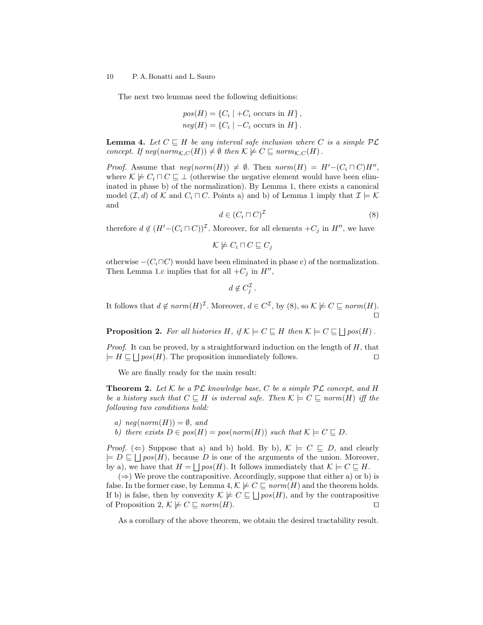The next two lemmas need the following definitions:

$$
pos(H) = \{C_i \mid +C_i \text{ occurs in } H\},
$$
  

$$
neg(H) = \{C_i \mid -C_i \text{ occurs in } H\}.
$$

**Lemma 4.** Let  $C \subseteq H$  be any interval safe inclusion where C is a simple  $PL$ concept. If  $neg(norm_{\mathcal{K},C}(H)) \neq \emptyset$  then  $\mathcal{K} \not\models C \sqsubseteq norm_{\mathcal{K},C}(H)$ .

*Proof.* Assume that  $neg(norm(H)) \neq \emptyset$ . Then  $norm(H) = H'-(C_i \sqcap C)H''$ , where  $\mathcal{K} \not\models C_i \sqcap C \sqsubseteq \bot$  (otherwise the negative element would have been eliminated in phase b) of the normalization). By Lemma 1, there exists a canonical model  $(\mathcal{I}, d)$  of K and  $C_i \sqcap C$ . Points a) and b) of Lemma 1 imply that  $\mathcal{I} \models \mathcal{K}$ and

$$
d \in (C_i \sqcap C)^{\mathcal{I}} \tag{8}
$$

therefore  $d \notin (H' - (C_i \sqcap C))^{\mathcal{I}}$ . Moreover, for all elements  $+C_j$  in  $H''$ , we have

 $\mathcal{K} \not\models C_i \sqcap C \sqsubseteq C_j$ 

otherwise  $-(C_i \sqcap C)$  would have been eliminated in phase c) of the normalization. Then Lemma 1.c implies that for all  $+C_j$  in  $H''$ ,

 $d \notin C_j^{\mathcal{I}}$ .

It follows that  $d \notin norm(H)^{\mathcal{I}}$ . Moreover,  $d \in C^{\mathcal{I}}$ , by  $(8)$ , so  $\mathcal{K} \not\models C \sqsubseteq norm(H)$ .  $\Box$ 

**Proposition 2.** For all histories H, if  $\mathcal{K} \models C \sqsubseteq H$  then  $\mathcal{K} \models C \sqsubseteq \bigsqcup pos(H)$ .

*Proof.* It can be proved, by a straightforward induction on the length of  $H$ , that  $\models H \sqsubseteq \bigsqcup pos(H)$ . The proposition immediately follows.

We are finally ready for the main result:

**Theorem 2.** Let  $K$  be a  $PL$  knowledge base, C be a simple  $PL$  concept, and H be a history such that  $C \subseteq H$  is interval safe. Then  $\mathcal{K} \models C \subseteq norm(H)$  iff the following two conditions hold:

- a)  $neg(norm(H)) = \emptyset$ , and
- b) there exists  $D \in pos(H) = pos(norm(H))$  such that  $\mathcal{K} \models C \sqsubseteq D$ .

*Proof.* ( $\Leftarrow$ ) Suppose that a) and b) hold. By b),  $\mathcal{K} \models C \sqsubseteq D$ , and clearly  $\models D \sqsubseteq \bigsqcup pos(H)$ , because D is one of the arguments of the union. Moreover, by a), we have that  $H = \bigsqcup pos(H)$ . It follows immediately that  $\mathcal{K} \models C \sqsubseteq H$ .

 $(\Rightarrow)$  We prove the contrapositive. Accordingly, suppose that either a) or b) is false. In the former case, by Lemma 4,  $\mathcal{K} \not\models C \sqsubseteq norm(H)$  and the theorem holds. If b) is false, then by convexity  $\mathcal{K} \not\models C \sqsubseteq \bigsqcup pos(H)$ , and by the contrapositive of Proposition 2,  $\mathcal{K} \not\models C \sqsubseteq norm(H)$ .

As a corollary of the above theorem, we obtain the desired tractability result.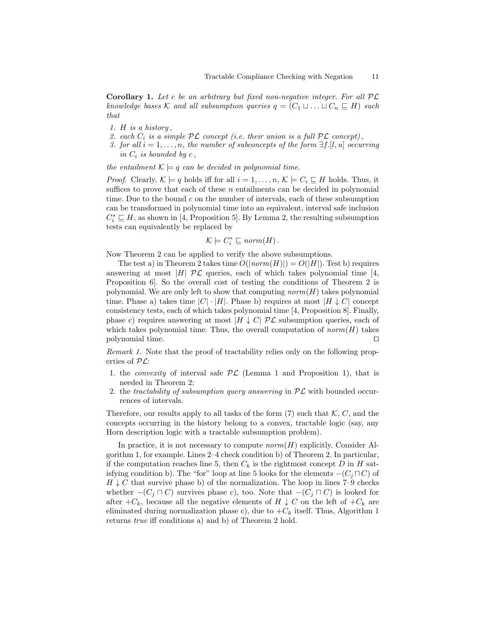**Corollary 1.** Let c be an arbitrary but fixed non-negative integer. For all  $PL$ knowledge bases K and all subsumption queries  $q = (C_1 \sqcup \ldots \sqcup C_n \sqsubseteq H)$  such that

- 1. H is a history ,
- 2. each  $C_i$  is a simple  $\mathcal{PL}$  concept (i.e. their union is a full  $\mathcal{PL}$  concept),
- 3. for all  $i = 1, \ldots, n$ , the number of subconcepts of the form  $\exists f. [l, u]$  occurring in  $C_i$  is bounded by  $c$ ,

the entailment  $\mathcal{K} \models q$  can be decided in polynomial time.

*Proof.* Clearly,  $\mathcal{K} \models q$  holds iff for all  $i = 1, \ldots, n$ ,  $\mathcal{K} \models C_i \sqsubseteq H$  holds. Thus, it suffices to prove that each of these  $n$  entailments can be decided in polynomial time. Due to the bound  $c$  on the number of intervals, each of these subsumption can be transformed in polynomial time into an equivalent, interval safe inclusion  $C_i^* \sqsubseteq H$ , as shown in [4, Proposition 5]. By Lemma 2, the resulting subsumption tests can equivalently be replaced by

$$
\mathcal{K} \models C_i^* \sqsubseteq norm(H).
$$

Now Theorem 2 can be applied to verify the above subsumptions.

The test a) in Theorem 2 takes time  $O(|norm(H)|) = O(|H|)$ . Test b) requires answering at most |H|  $\mathcal{PL}$  queries, each of which takes polynomial time [4, Proposition 6]. So the overall cost of testing the conditions of Theorem 2 is polynomial. We are only left to show that computing  $norm(H)$  takes polynomial time. Phase a) takes time  $|C| \cdot |H|$ . Phase b) requires at most  $|H \downarrow C|$  concept consistency tests, each of which takes polynomial time [4, Proposition 8]. Finally, phase c) requires answering at most  $|H \downarrow C|$   $\mathcal{PL}$  subsumption queries, each of which takes polynomial time. Thus, the overall computation of  $norm(H)$  takes polynomial time.  $\Box$ 

Remark 1. Note that the proof of tractability relies only on the following properties of  $\mathcal{PL}$ :

- 1. the *convexity* of interval safe  $PL$  (Lemma 1 and Proposition 1), that is needed in Theorem 2;
- 2. the tractability of subsumption query answering in  $PL$  with bounded occurrences of intervals.

Therefore, our results apply to all tasks of the form (7) such that  $\mathcal{K}, C$ , and the concepts occurring in the history belong to a convex, tractable logic (say, any Horn description logic with a tractable subsumption problem).

In practice, it is not necessary to compute  $norm(H)$  explicitly. Consider Algorithm 1, for example. Lines 2–4 check condition b) of Theorem 2. In particular, if the computation reaches line 5, then  $C_k$  is the rightmost concept D in H satisfying condition b). The "for" loop at line 5 looks for the elements  $-(C_i \sqcap C)$  of  $H \downarrow C$  that survive phase b) of the normalization. The loop in lines 7–9 checks whether  $-(C_j \sqcap C)$  survives phase c), too. Note that  $-(C_j \sqcap C)$  is looked for after  $+C_k$ , because all the negative elements of  $H \downarrow C$  on the left of  $+C_k$  are eliminated during normalization phase c), due to  $+C_k$  itself. Thus, Algorithm 1 returns true iff conditions a) and b) of Theorem 2 hold.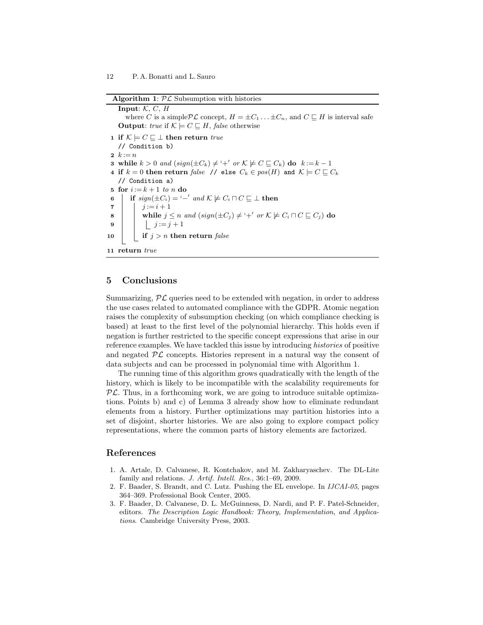Algorithm 1:  $PL$  Subsumption with histories

Input:  $K, C, H$ where C is a simple  $\mathcal{PL}$  concept,  $H = \pm C_1 \ldots \pm C_n$ , and  $C \sqsubseteq H$  is interval safe **Output**: true if  $K \models C \sqsubseteq H$ , false otherwise 1 if  $\mathcal{K} \models C \sqsubseteq \bot$  then return true // Condition b) 2  $k := n$ **3** while  $k > 0$  and  $(sign(\pm C_k) \neq '+'$  or  $\mathcal{K} \not\models C \sqsubseteq C_k)$  do  $k := k - 1$ 4 if  $k = 0$  then return false // else  $C_k \in pos(H)$  and  $\mathcal{K} \models C \sqsubseteq C_k$ // Condition a) 5 for  $i:=k+1$  to n do 6 if  $sign(\pm C_i) = -\prime$  and  $\mathcal{K} \not\models C_i \sqcap C \sqsubseteq \bot$  then 7 |  $j := i + 1$ **8** while  $j \leq n$  and  $(sign(\pm C_j) \neq '+'$  or  $K \not\models C_i \sqcap C \sqsubseteq C_j)$  do 9 | |  $j := j + 1$ 10 if  $j > n$  then return false 11 return true

## 5 Conclusions

Summarizing,  $\mathcal{PL}$  queries need to be extended with negation, in order to address the use cases related to automated compliance with the GDPR. Atomic negation raises the complexity of subsumption checking (on which compliance checking is based) at least to the first level of the polynomial hierarchy. This holds even if negation is further restricted to the specific concept expressions that arise in our reference examples. We have tackled this issue by introducing histories of positive and negated  $\mathcal{PL}$  concepts. Histories represent in a natural way the consent of data subjects and can be processed in polynomial time with Algorithm 1.

The running time of this algorithm grows quadratically with the length of the history, which is likely to be incompatible with the scalability requirements for  $PL$ . Thus, in a forthcoming work, we are going to introduce suitable optimizations. Points b) and c) of Lemma 3 already show how to eliminate redundant elements from a history. Further optimizations may partition histories into a set of disjoint, shorter histories. We are also going to explore compact policy representations, where the common parts of history elements are factorized.

# References

- 1. A. Artale, D. Calvanese, R. Kontchakov, and M. Zakharyaschev. The DL-Lite family and relations. J. Artif. Intell. Res., 36:1–69, 2009.
- 2. F. Baader, S. Brandt, and C. Lutz. Pushing the EL envelope. In IJCAI-05, pages 364–369. Professional Book Center, 2005.
- 3. F. Baader, D. Calvanese, D. L. McGuinness, D. Nardi, and P. F. Patel-Schneider, editors. The Description Logic Handbook: Theory, Implementation, and Applications. Cambridge University Press, 2003.